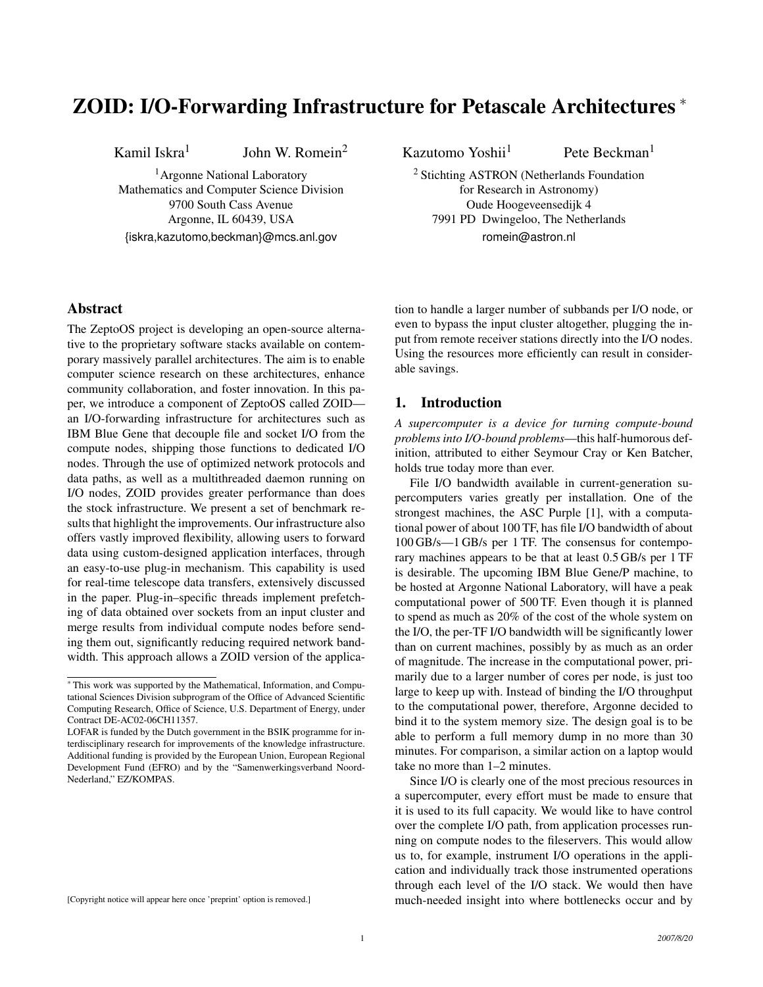# **ZOID: I/O-Forwarding Infrastructure for Petascale Architectures** <sup>∗</sup>

Kamil Iskra<sup>1</sup>

John W. Romein<sup>2</sup>

<sup>1</sup> Argonne National Laboratory Mathematics and Computer Science Division 9700 South Cass Avenue Argonne, IL 60439, USA {iskra,kazutomo,beckman}@mcs.anl.gov

## **Abstract**

The ZeptoOS project is developing an open-source alternative to the proprietary software stacks available on contemporary massively parallel architectures. The aim is to enable computer science research on these architectures, enhance community collaboration, and foster innovation. In this paper, we introduce a component of ZeptoOS called ZOID an I/O-forwarding infrastructure for architectures such as IBM Blue Gene that decouple file and socket I/O from the compute nodes, shipping those functions to dedicated I/O nodes. Through the use of optimized network protocols and data paths, as well as a multithreaded daemon running on I/O nodes, ZOID provides greater performance than does the stock infrastructure. We present a set of benchmark results that highlight the improvements. Our infrastructure also offers vastly improved flexibility, allowing users to forward data using custom-designed application interfaces, through an easy-to-use plug-in mechanism. This capability is used for real-time telescope data transfers, extensively discussed in the paper. Plug-in–specific threads implement prefetching of data obtained over sockets from an input cluster and merge results from individual compute nodes before sending them out, significantly reducing required network bandwidth. This approach allows a ZOID version of the applicaKazutomo Yoshii<sup>1</sup> Pete Beckman<sup>1</sup>

<sup>2</sup> Stichting ASTRON (Netherlands Foundation for Research in Astronomy) Oude Hoogeveensedijk 4 7991 PD Dwingeloo, The Netherlands romein@astron.nl

tion to handle a larger number of subbands per I/O node, or even to bypass the input cluster altogether, plugging the input from remote receiver stations directly into the I/O nodes. Using the resources more efficiently can result in considerable savings.

## **1. Introduction**

*A supercomputer is a device for turning compute-bound problems into I/O-bound problems*—this half-humorous definition, attributed to either Seymour Cray or Ken Batcher, holds true today more than ever.

File I/O bandwidth available in current-generation supercomputers varies greatly per installation. One of the strongest machines, the ASC Purple [1], with a computational power of about 100 TF, has file I/O bandwidth of about 100 GB/s—1 GB/s per 1 TF. The consensus for contemporary machines appears to be that at least 0.5 GB/s per 1 TF is desirable. The upcoming IBM Blue Gene/P machine, to be hosted at Argonne National Laboratory, will have a peak computational power of 500 TF. Even though it is planned to spend as much as 20% of the cost of the whole system on the I/O, the per-TF I/O bandwidth will be significantly lower than on current machines, possibly by as much as an order of magnitude. The increase in the computational power, primarily due to a larger number of cores per node, is just too large to keep up with. Instead of binding the I/O throughput to the computational power, therefore, Argonne decided to bind it to the system memory size. The design goal is to be able to perform a full memory dump in no more than 30 minutes. For comparison, a similar action on a laptop would take no more than 1–2 minutes.

Since I/O is clearly one of the most precious resources in a supercomputer, every effort must be made to ensure that it is used to its full capacity. We would like to have control over the complete I/O path, from application processes running on compute nodes to the fileservers. This would allow us to, for example, instrument I/O operations in the application and individually track those instrumented operations through each level of the I/O stack. We would then have much-needed insight into where bottlenecks occur and by

<sup>∗</sup> This work was supported by the Mathematical, Information, and Computational Sciences Division subprogram of the Office of Advanced Scientific Computing Research, Office of Science, U.S. Department of Energy, under Contract DE-AC02-06CH11357.

LOFAR is funded by the Dutch government in the BSIK programme for interdisciplinary research for improvements of the knowledge infrastructure. Additional funding is provided by the European Union, European Regional Development Fund (EFRO) and by the "Samenwerkingsverband Noord-Nederland," EZ/KOMPAS.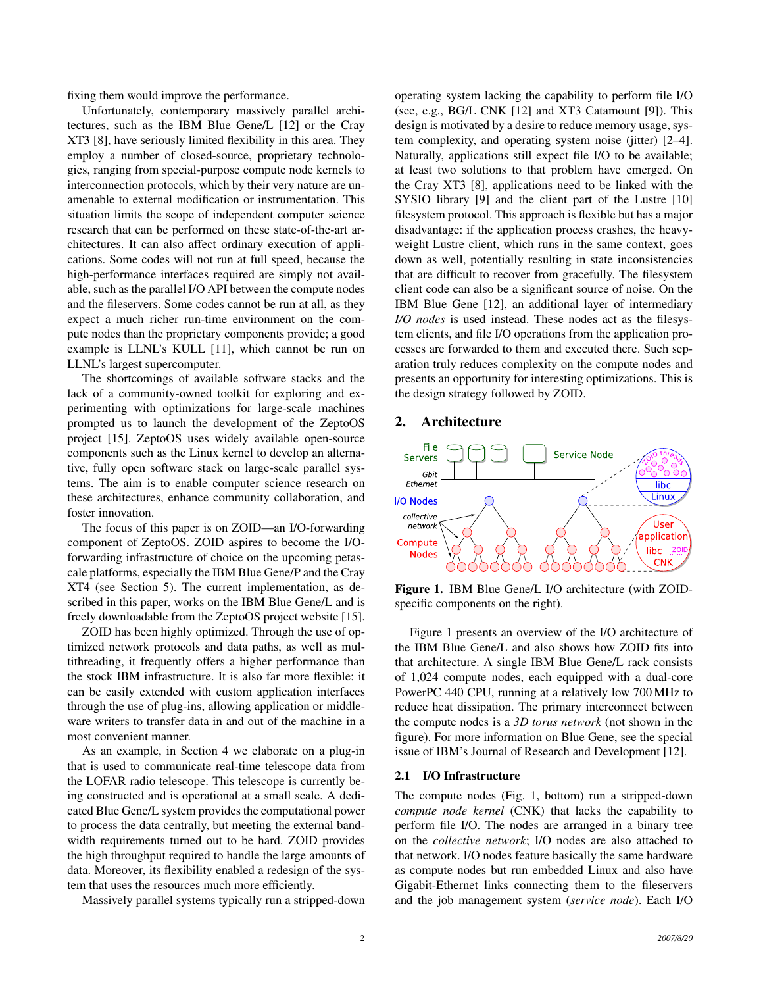fixing them would improve the performance.

Unfortunately, contemporary massively parallel architectures, such as the IBM Blue Gene/L [12] or the Cray XT3 [8], have seriously limited flexibility in this area. They employ a number of closed-source, proprietary technologies, ranging from special-purpose compute node kernels to interconnection protocols, which by their very nature are unamenable to external modification or instrumentation. This situation limits the scope of independent computer science research that can be performed on these state-of-the-art architectures. It can also affect ordinary execution of applications. Some codes will not run at full speed, because the high-performance interfaces required are simply not available, such as the parallel I/O API between the compute nodes and the fileservers. Some codes cannot be run at all, as they expect a much richer run-time environment on the compute nodes than the proprietary components provide; a good example is LLNL's KULL [11], which cannot be run on LLNL's largest supercomputer.

The shortcomings of available software stacks and the lack of a community-owned toolkit for exploring and experimenting with optimizations for large-scale machines prompted us to launch the development of the ZeptoOS project [15]. ZeptoOS uses widely available open-source components such as the Linux kernel to develop an alternative, fully open software stack on large-scale parallel systems. The aim is to enable computer science research on these architectures, enhance community collaboration, and foster innovation.

The focus of this paper is on ZOID—an I/O-forwarding component of ZeptoOS. ZOID aspires to become the I/Oforwarding infrastructure of choice on the upcoming petascale platforms, especially the IBM Blue Gene/P and the Cray XT4 (see Section 5). The current implementation, as described in this paper, works on the IBM Blue Gene/L and is freely downloadable from the ZeptoOS project website [15].

ZOID has been highly optimized. Through the use of optimized network protocols and data paths, as well as multithreading, it frequently offers a higher performance than the stock IBM infrastructure. It is also far more flexible: it can be easily extended with custom application interfaces through the use of plug-ins, allowing application or middleware writers to transfer data in and out of the machine in a most convenient manner.

As an example, in Section 4 we elaborate on a plug-in that is used to communicate real-time telescope data from the LOFAR radio telescope. This telescope is currently being constructed and is operational at a small scale. A dedicated Blue Gene/L system provides the computational power to process the data centrally, but meeting the external bandwidth requirements turned out to be hard. ZOID provides the high throughput required to handle the large amounts of data. Moreover, its flexibility enabled a redesign of the system that uses the resources much more efficiently.

Massively parallel systems typically run a stripped-down

operating system lacking the capability to perform file I/O (see, e.g., BG/L CNK [12] and XT3 Catamount [9]). This design is motivated by a desire to reduce memory usage, system complexity, and operating system noise (jitter) [2–4]. Naturally, applications still expect file I/O to be available; at least two solutions to that problem have emerged. On the Cray XT3 [8], applications need to be linked with the SYSIO library [9] and the client part of the Lustre [10] filesystem protocol. This approach is flexible but has a major disadvantage: if the application process crashes, the heavyweight Lustre client, which runs in the same context, goes down as well, potentially resulting in state inconsistencies that are difficult to recover from gracefully. The filesystem client code can also be a significant source of noise. On the IBM Blue Gene [12], an additional layer of intermediary *I/O nodes* is used instead. These nodes act as the filesystem clients, and file I/O operations from the application processes are forwarded to them and executed there. Such separation truly reduces complexity on the compute nodes and presents an opportunity for interesting optimizations. This is the design strategy followed by ZOID.

## **2. Architecture**



**Figure 1.** IBM Blue Gene/L I/O architecture (with ZOIDspecific components on the right).

Figure 1 presents an overview of the I/O architecture of the IBM Blue Gene/L and also shows how ZOID fits into that architecture. A single IBM Blue Gene/L rack consists of 1,024 compute nodes, each equipped with a dual-core PowerPC 440 CPU, running at a relatively low 700 MHz to reduce heat dissipation. The primary interconnect between the compute nodes is a *3D torus network* (not shown in the figure). For more information on Blue Gene, see the special issue of IBM's Journal of Research and Development [12].

#### **2.1 I/O Infrastructure**

The compute nodes (Fig. 1, bottom) run a stripped-down *compute node kernel* (CNK) that lacks the capability to perform file I/O. The nodes are arranged in a binary tree on the *collective network*; I/O nodes are also attached to that network. I/O nodes feature basically the same hardware as compute nodes but run embedded Linux and also have Gigabit-Ethernet links connecting them to the fileservers and the job management system (*service node*). Each I/O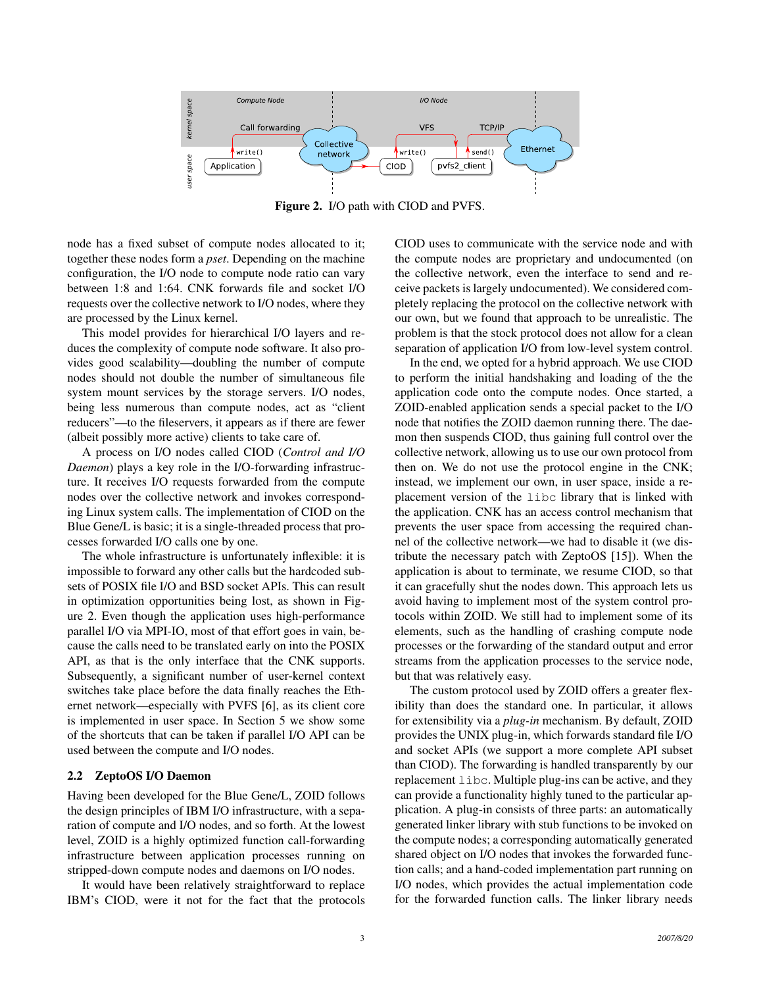

**Figure 2.** I/O path with CIOD and PVFS.

node has a fixed subset of compute nodes allocated to it; together these nodes form a *pset*. Depending on the machine configuration, the I/O node to compute node ratio can vary between 1:8 and 1:64. CNK forwards file and socket I/O requests over the collective network to I/O nodes, where they are processed by the Linux kernel.

This model provides for hierarchical I/O layers and reduces the complexity of compute node software. It also provides good scalability—doubling the number of compute nodes should not double the number of simultaneous file system mount services by the storage servers. I/O nodes, being less numerous than compute nodes, act as "client reducers"—to the fileservers, it appears as if there are fewer (albeit possibly more active) clients to take care of.

A process on I/O nodes called CIOD (*Control and I/O Daemon*) plays a key role in the I/O-forwarding infrastructure. It receives I/O requests forwarded from the compute nodes over the collective network and invokes corresponding Linux system calls. The implementation of CIOD on the Blue Gene/L is basic; it is a single-threaded process that processes forwarded I/O calls one by one.

The whole infrastructure is unfortunately inflexible: it is impossible to forward any other calls but the hardcoded subsets of POSIX file I/O and BSD socket APIs. This can result in optimization opportunities being lost, as shown in Figure 2. Even though the application uses high-performance parallel I/O via MPI-IO, most of that effort goes in vain, because the calls need to be translated early on into the POSIX API, as that is the only interface that the CNK supports. Subsequently, a significant number of user-kernel context switches take place before the data finally reaches the Ethernet network—especially with PVFS [6], as its client core is implemented in user space. In Section 5 we show some of the shortcuts that can be taken if parallel I/O API can be used between the compute and I/O nodes.

### **2.2 ZeptoOS I/O Daemon**

Having been developed for the Blue Gene/L, ZOID follows the design principles of IBM I/O infrastructure, with a separation of compute and I/O nodes, and so forth. At the lowest level, ZOID is a highly optimized function call-forwarding infrastructure between application processes running on stripped-down compute nodes and daemons on I/O nodes.

It would have been relatively straightforward to replace IBM's CIOD, were it not for the fact that the protocols CIOD uses to communicate with the service node and with the compute nodes are proprietary and undocumented (on the collective network, even the interface to send and receive packets is largely undocumented). We considered completely replacing the protocol on the collective network with our own, but we found that approach to be unrealistic. The problem is that the stock protocol does not allow for a clean separation of application I/O from low-level system control.

In the end, we opted for a hybrid approach. We use CIOD to perform the initial handshaking and loading of the the application code onto the compute nodes. Once started, a ZOID-enabled application sends a special packet to the I/O node that notifies the ZOID daemon running there. The daemon then suspends CIOD, thus gaining full control over the collective network, allowing us to use our own protocol from then on. We do not use the protocol engine in the CNK; instead, we implement our own, in user space, inside a replacement version of the libc library that is linked with the application. CNK has an access control mechanism that prevents the user space from accessing the required channel of the collective network—we had to disable it (we distribute the necessary patch with ZeptoOS [15]). When the application is about to terminate, we resume CIOD, so that it can gracefully shut the nodes down. This approach lets us avoid having to implement most of the system control protocols within ZOID. We still had to implement some of its elements, such as the handling of crashing compute node processes or the forwarding of the standard output and error streams from the application processes to the service node, but that was relatively easy.

The custom protocol used by ZOID offers a greater flexibility than does the standard one. In particular, it allows for extensibility via a *plug-in* mechanism. By default, ZOID provides the UNIX plug-in, which forwards standard file I/O and socket APIs (we support a more complete API subset than CIOD). The forwarding is handled transparently by our replacement libc. Multiple plug-ins can be active, and they can provide a functionality highly tuned to the particular application. A plug-in consists of three parts: an automatically generated linker library with stub functions to be invoked on the compute nodes; a corresponding automatically generated shared object on I/O nodes that invokes the forwarded function calls; and a hand-coded implementation part running on I/O nodes, which provides the actual implementation code for the forwarded function calls. The linker library needs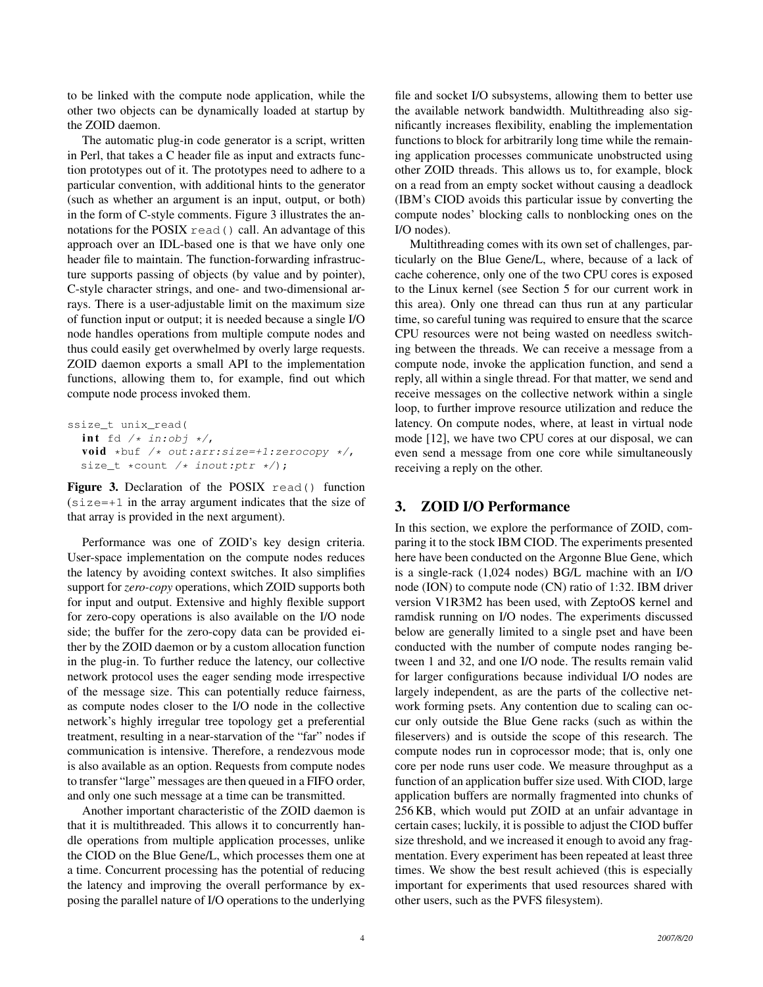to be linked with the compute node application, while the other two objects can be dynamically loaded at startup by the ZOID daemon.

The automatic plug-in code generator is a script, written in Perl, that takes a C header file as input and extracts function prototypes out of it. The prototypes need to adhere to a particular convention, with additional hints to the generator (such as whether an argument is an input, output, or both) in the form of C-style comments. Figure 3 illustrates the annotations for the POSIX read () call. An advantage of this approach over an IDL-based one is that we have only one header file to maintain. The function-forwarding infrastructure supports passing of objects (by value and by pointer), C-style character strings, and one- and two-dimensional arrays. There is a user-adjustable limit on the maximum size of function input or output; it is needed because a single I/O node handles operations from multiple compute nodes and thus could easily get overwhelmed by overly large requests. ZOID daemon exports a small API to the implementation functions, allowing them to, for example, find out which compute node process invoked them.

```
ssize_t unix_read(
int fd /* in:obj */,
void *buf /* out:arr:size=+1:zerocopy */,
size_t *count /* inout:ptr */);
```
**Figure 3.** Declaration of the POSIX read() function  $(size=+1$  in the array argument indicates that the size of that array is provided in the next argument).

Performance was one of ZOID's key design criteria. User-space implementation on the compute nodes reduces the latency by avoiding context switches. It also simplifies support for *zero-copy* operations, which ZOID supports both for input and output. Extensive and highly flexible support for zero-copy operations is also available on the I/O node side; the buffer for the zero-copy data can be provided either by the ZOID daemon or by a custom allocation function in the plug-in. To further reduce the latency, our collective network protocol uses the eager sending mode irrespective of the message size. This can potentially reduce fairness, as compute nodes closer to the I/O node in the collective network's highly irregular tree topology get a preferential treatment, resulting in a near-starvation of the "far" nodes if communication is intensive. Therefore, a rendezvous mode is also available as an option. Requests from compute nodes to transfer "large" messages are then queued in a FIFO order, and only one such message at a time can be transmitted.

Another important characteristic of the ZOID daemon is that it is multithreaded. This allows it to concurrently handle operations from multiple application processes, unlike the CIOD on the Blue Gene/L, which processes them one at a time. Concurrent processing has the potential of reducing the latency and improving the overall performance by exposing the parallel nature of I/O operations to the underlying

file and socket I/O subsystems, allowing them to better use the available network bandwidth. Multithreading also significantly increases flexibility, enabling the implementation functions to block for arbitrarily long time while the remaining application processes communicate unobstructed using other ZOID threads. This allows us to, for example, block on a read from an empty socket without causing a deadlock (IBM's CIOD avoids this particular issue by converting the compute nodes' blocking calls to nonblocking ones on the I/O nodes).

Multithreading comes with its own set of challenges, particularly on the Blue Gene/L, where, because of a lack of cache coherence, only one of the two CPU cores is exposed to the Linux kernel (see Section 5 for our current work in this area). Only one thread can thus run at any particular time, so careful tuning was required to ensure that the scarce CPU resources were not being wasted on needless switching between the threads. We can receive a message from a compute node, invoke the application function, and send a reply, all within a single thread. For that matter, we send and receive messages on the collective network within a single loop, to further improve resource utilization and reduce the latency. On compute nodes, where, at least in virtual node mode [12], we have two CPU cores at our disposal, we can even send a message from one core while simultaneously receiving a reply on the other.

# **3. ZOID I/O Performance**

In this section, we explore the performance of ZOID, comparing it to the stock IBM CIOD. The experiments presented here have been conducted on the Argonne Blue Gene, which is a single-rack (1,024 nodes) BG/L machine with an I/O node (ION) to compute node (CN) ratio of 1:32. IBM driver version V1R3M2 has been used, with ZeptoOS kernel and ramdisk running on I/O nodes. The experiments discussed below are generally limited to a single pset and have been conducted with the number of compute nodes ranging between 1 and 32, and one I/O node. The results remain valid for larger configurations because individual I/O nodes are largely independent, as are the parts of the collective network forming psets. Any contention due to scaling can occur only outside the Blue Gene racks (such as within the fileservers) and is outside the scope of this research. The compute nodes run in coprocessor mode; that is, only one core per node runs user code. We measure throughput as a function of an application buffer size used. With CIOD, large application buffers are normally fragmented into chunks of 256 KB, which would put ZOID at an unfair advantage in certain cases; luckily, it is possible to adjust the CIOD buffer size threshold, and we increased it enough to avoid any fragmentation. Every experiment has been repeated at least three times. We show the best result achieved (this is especially important for experiments that used resources shared with other users, such as the PVFS filesystem).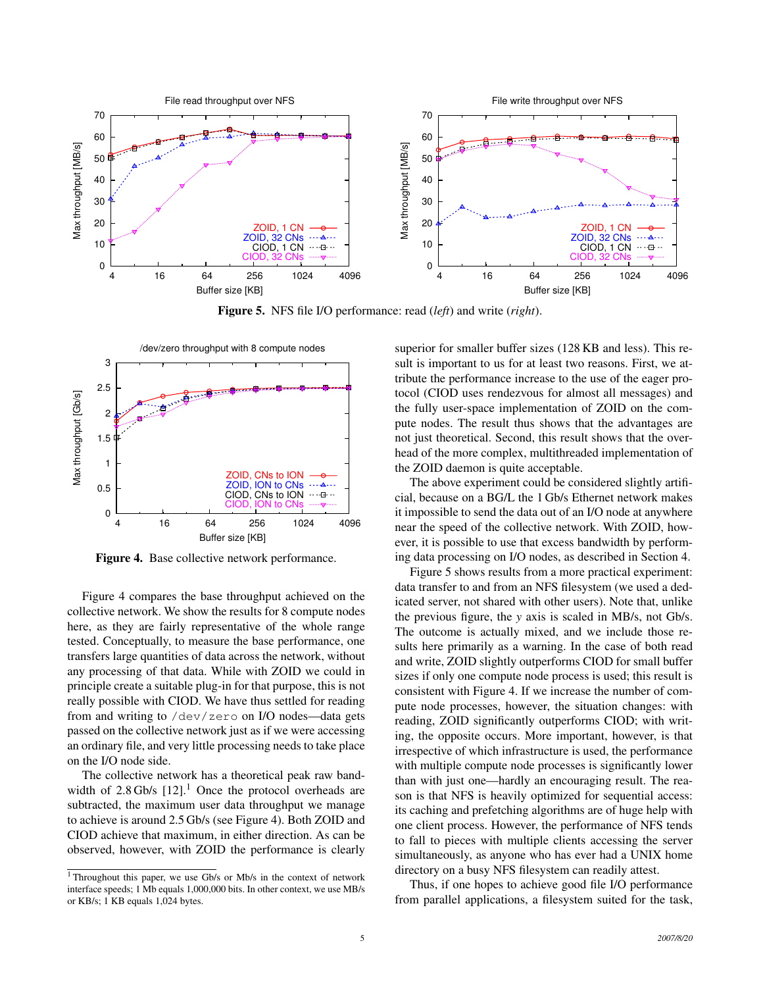

**Figure 5.** NFS file I/O performance: read (*left*) and write (*right*).



**Figure 4.** Base collective network performance.

Figure 4 compares the base throughput achieved on the collective network. We show the results for 8 compute nodes here, as they are fairly representative of the whole range tested. Conceptually, to measure the base performance, one transfers large quantities of data across the network, without any processing of that data. While with ZOID we could in principle create a suitable plug-in for that purpose, this is not really possible with CIOD. We have thus settled for reading from and writing to /dev/zero on I/O nodes—data gets passed on the collective network just as if we were accessing an ordinary file, and very little processing needs to take place on the I/O node side.

The collective network has a theoretical peak raw bandwidth of  $2.8$  Gb/s  $[12]$ .<sup>1</sup> Once the protocol overheads are subtracted, the maximum user data throughput we manage to achieve is around 2.5 Gb/s (see Figure 4). Both ZOID and CIOD achieve that maximum, in either direction. As can be observed, however, with ZOID the performance is clearly

superior for smaller buffer sizes (128 KB and less). This result is important to us for at least two reasons. First, we attribute the performance increase to the use of the eager protocol (CIOD uses rendezvous for almost all messages) and the fully user-space implementation of ZOID on the compute nodes. The result thus shows that the advantages are not just theoretical. Second, this result shows that the overhead of the more complex, multithreaded implementation of the ZOID daemon is quite acceptable.

The above experiment could be considered slightly artificial, because on a BG/L the 1 Gb/s Ethernet network makes it impossible to send the data out of an I/O node at anywhere near the speed of the collective network. With ZOID, however, it is possible to use that excess bandwidth by performing data processing on I/O nodes, as described in Section 4.

Figure 5 shows results from a more practical experiment: data transfer to and from an NFS filesystem (we used a dedicated server, not shared with other users). Note that, unlike the previous figure, the *y* axis is scaled in MB/s, not Gb/s. The outcome is actually mixed, and we include those results here primarily as a warning. In the case of both read and write, ZOID slightly outperforms CIOD for small buffer sizes if only one compute node process is used; this result is consistent with Figure 4. If we increase the number of compute node processes, however, the situation changes: with reading, ZOID significantly outperforms CIOD; with writing, the opposite occurs. More important, however, is that irrespective of which infrastructure is used, the performance with multiple compute node processes is significantly lower than with just one—hardly an encouraging result. The reason is that NFS is heavily optimized for sequential access: its caching and prefetching algorithms are of huge help with one client process. However, the performance of NFS tends to fall to pieces with multiple clients accessing the server simultaneously, as anyone who has ever had a UNIX home directory on a busy NFS filesystem can readily attest.

Thus, if one hopes to achieve good file I/O performance from parallel applications, a filesystem suited for the task,

 $1$ Throughout this paper, we use Gb/s or Mb/s in the context of network interface speeds; 1 Mb equals 1,000,000 bits. In other context, we use MB/s or KB/s; 1 KB equals 1,024 bytes.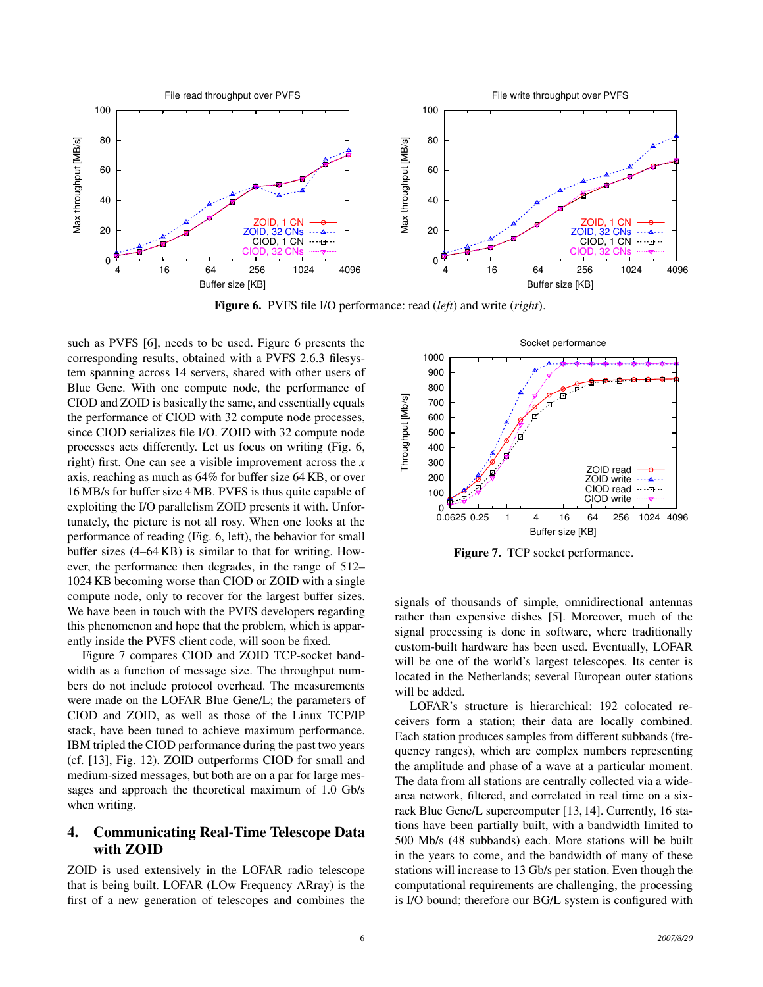

**Figure 6.** PVFS file I/O performance: read (*left*) and write (*right*).

such as PVFS [6], needs to be used. Figure 6 presents the corresponding results, obtained with a PVFS 2.6.3 filesystem spanning across 14 servers, shared with other users of Blue Gene. With one compute node, the performance of CIOD and ZOID is basically the same, and essentially equals the performance of CIOD with 32 compute node processes, since CIOD serializes file I/O. ZOID with 32 compute node processes acts differently. Let us focus on writing (Fig. 6, right) first. One can see a visible improvement across the *x* axis, reaching as much as 64% for buffer size 64 KB, or over 16 MB/s for buffer size 4 MB. PVFS is thus quite capable of exploiting the I/O parallelism ZOID presents it with. Unfortunately, the picture is not all rosy. When one looks at the performance of reading (Fig. 6, left), the behavior for small buffer sizes (4–64 KB) is similar to that for writing. However, the performance then degrades, in the range of 512– 1024 KB becoming worse than CIOD or ZOID with a single compute node, only to recover for the largest buffer sizes. We have been in touch with the PVFS developers regarding this phenomenon and hope that the problem, which is apparently inside the PVFS client code, will soon be fixed.

Figure 7 compares CIOD and ZOID TCP-socket bandwidth as a function of message size. The throughput numbers do not include protocol overhead. The measurements were made on the LOFAR Blue Gene/L; the parameters of CIOD and ZOID, as well as those of the Linux TCP/IP stack, have been tuned to achieve maximum performance. IBM tripled the CIOD performance during the past two years (cf. [13], Fig. 12). ZOID outperforms CIOD for small and medium-sized messages, but both are on a par for large messages and approach the theoretical maximum of 1.0 Gb/s when writing.

# **4. Communicating Real-Time Telescope Data with ZOID**

ZOID is used extensively in the LOFAR radio telescope that is being built. LOFAR (LOw Frequency ARray) is the first of a new generation of telescopes and combines the



**Figure 7.** TCP socket performance.

signals of thousands of simple, omnidirectional antennas rather than expensive dishes [5]. Moreover, much of the signal processing is done in software, where traditionally custom-built hardware has been used. Eventually, LOFAR will be one of the world's largest telescopes. Its center is located in the Netherlands; several European outer stations will be added.

LOFAR's structure is hierarchical: 192 colocated receivers form a station; their data are locally combined. Each station produces samples from different subbands (frequency ranges), which are complex numbers representing the amplitude and phase of a wave at a particular moment. The data from all stations are centrally collected via a widearea network, filtered, and correlated in real time on a sixrack Blue Gene/L supercomputer [13, 14]. Currently, 16 stations have been partially built, with a bandwidth limited to 500 Mb/s (48 subbands) each. More stations will be built in the years to come, and the bandwidth of many of these stations will increase to 13 Gb/s per station. Even though the computational requirements are challenging, the processing is I/O bound; therefore our BG/L system is configured with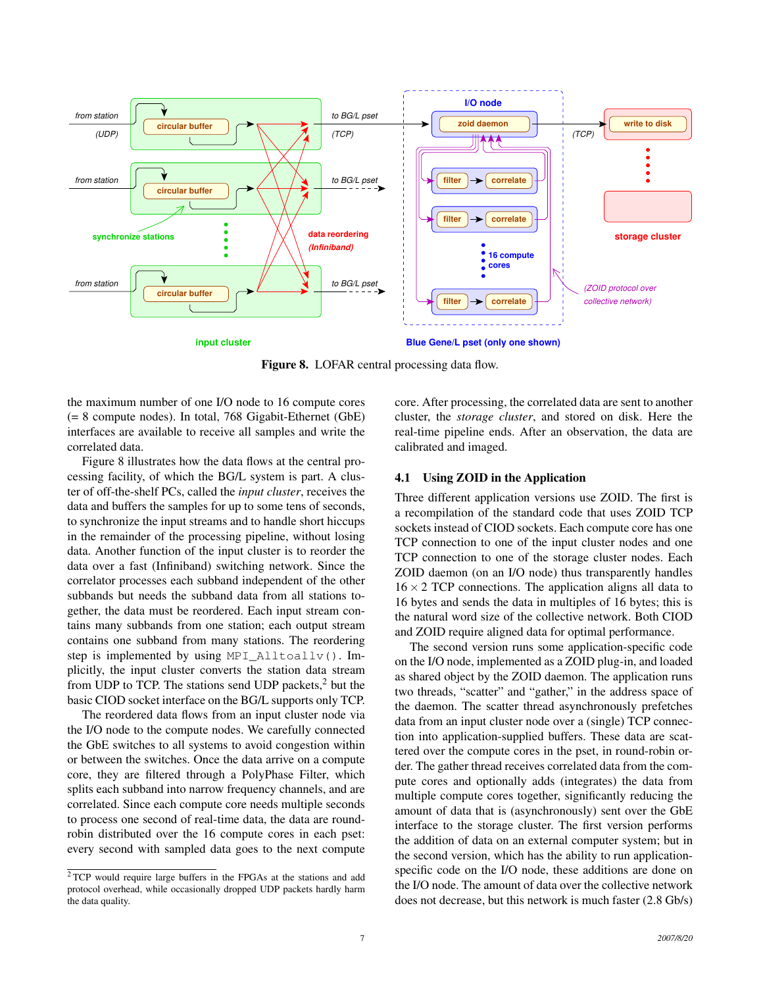

**Figure 8.** LOFAR central processing data flow.

the maximum number of one I/O node to 16 compute cores (= 8 compute nodes). In total, 768 Gigabit-Ethernet (GbE) interfaces are available to receive all samples and write the correlated data.

Figure 8 illustrates how the data flows at the central processing facility, of which the BG/L system is part. A cluster of off-the-shelf PCs, called the *input cluster*, receives the data and buffers the samples for up to some tens of seconds, to synchronize the input streams and to handle short hiccups in the remainder of the processing pipeline, without losing data. Another function of the input cluster is to reorder the data over a fast (Infiniband) switching network. Since the correlator processes each subband independent of the other subbands but needs the subband data from all stations together, the data must be reordered. Each input stream contains many subbands from one station; each output stream contains one subband from many stations. The reordering step is implemented by using MPI\_Alltoallv(). Implicitly, the input cluster converts the station data stream from UDP to TCP. The stations send UDP packets, $<sup>2</sup>$  but the</sup> basic CIOD socket interface on the BG/L supports only TCP.

The reordered data flows from an input cluster node via the I/O node to the compute nodes. We carefully connected the GbE switches to all systems to avoid congestion within or between the switches. Once the data arrive on a compute core, they are filtered through a PolyPhase Filter, which splits each subband into narrow frequency channels, and are correlated. Since each compute core needs multiple seconds to process one second of real-time data, the data are roundrobin distributed over the 16 compute cores in each pset: every second with sampled data goes to the next compute

core. After processing, the correlated data are sent to another cluster, the *storage cluster*, and stored on disk. Here the real-time pipeline ends. After an observation, the data are calibrated and imaged.

#### **4.1 Using ZOID in the Application**

Three different application versions use ZOID. The first is a recompilation of the standard code that uses ZOID TCP sockets instead of CIOD sockets. Each compute core has one TCP connection to one of the input cluster nodes and one TCP connection to one of the storage cluster nodes. Each ZOID daemon (on an I/O node) thus transparently handles  $16 \times 2$  TCP connections. The application aligns all data to 16 bytes and sends the data in multiples of 16 bytes; this is the natural word size of the collective network. Both CIOD and ZOID require aligned data for optimal performance.

The second version runs some application-specific code on the I/O node, implemented as a ZOID plug-in, and loaded as shared object by the ZOID daemon. The application runs two threads, "scatter" and "gather," in the address space of the daemon. The scatter thread asynchronously prefetches data from an input cluster node over a (single) TCP connection into application-supplied buffers. These data are scattered over the compute cores in the pset, in round-robin order. The gather thread receives correlated data from the compute cores and optionally adds (integrates) the data from multiple compute cores together, significantly reducing the amount of data that is (asynchronously) sent over the GbE interface to the storage cluster. The first version performs the addition of data on an external computer system; but in the second version, which has the ability to run applicationspecific code on the I/O node, these additions are done on the I/O node. The amount of data over the collective network does not decrease, but this network is much faster (2.8 Gb/s)

 $2$ <sup>T</sup>CP would require large buffers in the FPGAs at the stations and add protocol overhead, while occasionally dropped UDP packets hardly harm the data quality.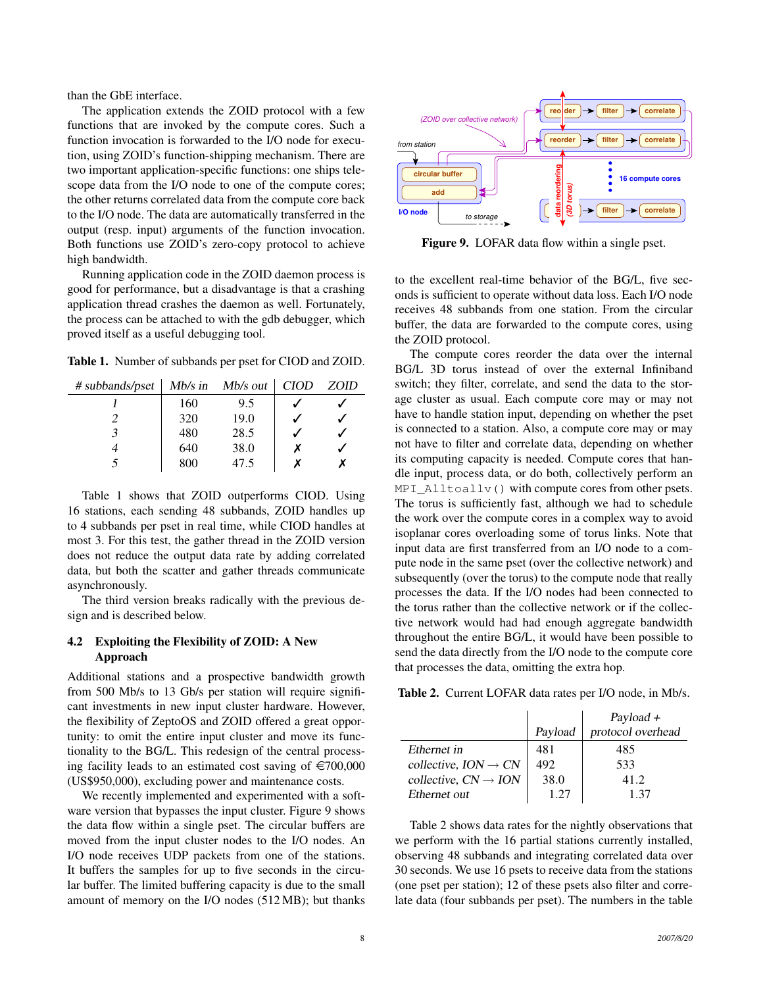than the GbE interface.

The application extends the ZOID protocol with a few functions that are invoked by the compute cores. Such a function invocation is forwarded to the I/O node for execution, using ZOID's function-shipping mechanism. There are two important application-specific functions: one ships telescope data from the I/O node to one of the compute cores; the other returns correlated data from the compute core back to the I/O node. The data are automatically transferred in the output (resp. input) arguments of the function invocation. Both functions use ZOID's zero-copy protocol to achieve high bandwidth.

Running application code in the ZOID daemon process is good for performance, but a disadvantage is that a crashing application thread crashes the daemon as well. Fortunately, the process can be attached to with the gdb debugger, which proved itself as a useful debugging tool.

**Table 1.** Number of subbands per pset for CIOD and ZOID.

| # subbands/pset |     | $Mb/s$ in $Mb/s$ out | <b>CIOD</b> | ZOID |
|-----------------|-----|----------------------|-------------|------|
|                 | 160 | 9.5                  |             |      |
|                 | 320 | 19.0                 |             |      |
| 3               | 480 | 28.5                 |             |      |
|                 | 640 | 38.0                 |             |      |
|                 | 800 | 47.5                 |             |      |

Table 1 shows that ZOID outperforms CIOD. Using 16 stations, each sending 48 subbands, ZOID handles up to 4 subbands per pset in real time, while CIOD handles at most 3. For this test, the gather thread in the ZOID version does not reduce the output data rate by adding correlated data, but both the scatter and gather threads communicate asynchronously.

The third version breaks radically with the previous design and is described below.

## **4.2 Exploiting the Flexibility of ZOID: A New Approach**

Additional stations and a prospective bandwidth growth from 500 Mb/s to 13 Gb/s per station will require significant investments in new input cluster hardware. However, the flexibility of ZeptoOS and ZOID offered a great opportunity: to omit the entire input cluster and move its functionality to the BG/L. This redesign of the central processing facility leads to an estimated cost saving of  $\epsilon$ 700,000 (US\$950,000), excluding power and maintenance costs.

We recently implemented and experimented with a software version that bypasses the input cluster. Figure 9 shows the data flow within a single pset. The circular buffers are moved from the input cluster nodes to the I/O nodes. An I/O node receives UDP packets from one of the stations. It buffers the samples for up to five seconds in the circular buffer. The limited buffering capacity is due to the small amount of memory on the I/O nodes (512 MB); but thanks



**Figure 9.** LOFAR data flow within a single pset.

to the excellent real-time behavior of the BG/L, five seconds is sufficient to operate without data loss. Each I/O node receives 48 subbands from one station. From the circular buffer, the data are forwarded to the compute cores, using the ZOID protocol.

The compute cores reorder the data over the internal BG/L 3D torus instead of over the external Infiniband switch; they filter, correlate, and send the data to the storage cluster as usual. Each compute core may or may not have to handle station input, depending on whether the pset is connected to a station. Also, a compute core may or may not have to filter and correlate data, depending on whether its computing capacity is needed. Compute cores that handle input, process data, or do both, collectively perform an  $MPI$   $Alltoally()$  with compute cores from other psets. The torus is sufficiently fast, although we had to schedule the work over the compute cores in a complex way to avoid isoplanar cores overloading some of torus links. Note that input data are first transferred from an I/O node to a compute node in the same pset (over the collective network) and subsequently (over the torus) to the compute node that really processes the data. If the I/O nodes had been connected to the torus rather than the collective network or if the collective network would had had enough aggregate bandwidth throughout the entire BG/L, it would have been possible to send the data directly from the I/O node to the compute core that processes the data, omitting the extra hop.

**Table 2.** Current LOFAR data rates per I/O node, in Mb/s.

|                                  |         | $Payload +$       |
|----------------------------------|---------|-------------------|
|                                  | Payload | protocol overhead |
| Ethernet in                      | 481     | 485               |
| collective, $ION \rightarrow CN$ | 492     | 533               |
| collective, $CN \rightarrow ION$ | 38.0    | 41 2              |
| Ethernet out                     | 1.27    | 1, 37             |

Table 2 shows data rates for the nightly observations that we perform with the 16 partial stations currently installed, observing 48 subbands and integrating correlated data over 30 seconds. We use 16 psets to receive data from the stations (one pset per station); 12 of these psets also filter and correlate data (four subbands per pset). The numbers in the table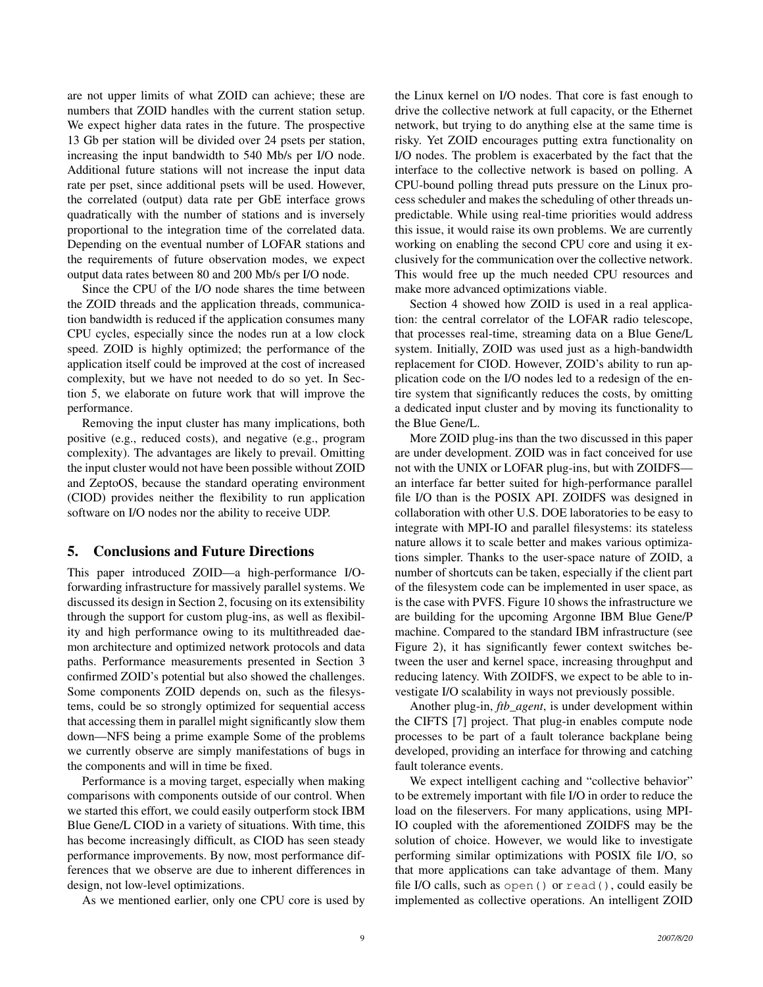are not upper limits of what ZOID can achieve; these are numbers that ZOID handles with the current station setup. We expect higher data rates in the future. The prospective 13 Gb per station will be divided over 24 psets per station, increasing the input bandwidth to 540 Mb/s per I/O node. Additional future stations will not increase the input data rate per pset, since additional psets will be used. However, the correlated (output) data rate per GbE interface grows quadratically with the number of stations and is inversely proportional to the integration time of the correlated data. Depending on the eventual number of LOFAR stations and the requirements of future observation modes, we expect output data rates between 80 and 200 Mb/s per I/O node.

Since the CPU of the I/O node shares the time between the ZOID threads and the application threads, communication bandwidth is reduced if the application consumes many CPU cycles, especially since the nodes run at a low clock speed. ZOID is highly optimized; the performance of the application itself could be improved at the cost of increased complexity, but we have not needed to do so yet. In Section 5, we elaborate on future work that will improve the performance.

Removing the input cluster has many implications, both positive (e.g., reduced costs), and negative (e.g., program complexity). The advantages are likely to prevail. Omitting the input cluster would not have been possible without ZOID and ZeptoOS, because the standard operating environment (CIOD) provides neither the flexibility to run application software on I/O nodes nor the ability to receive UDP.

# **5. Conclusions and Future Directions**

This paper introduced ZOID—a high-performance I/Oforwarding infrastructure for massively parallel systems. We discussed its design in Section 2, focusing on its extensibility through the support for custom plug-ins, as well as flexibility and high performance owing to its multithreaded daemon architecture and optimized network protocols and data paths. Performance measurements presented in Section 3 confirmed ZOID's potential but also showed the challenges. Some components ZOID depends on, such as the filesystems, could be so strongly optimized for sequential access that accessing them in parallel might significantly slow them down—NFS being a prime example Some of the problems we currently observe are simply manifestations of bugs in the components and will in time be fixed.

Performance is a moving target, especially when making comparisons with components outside of our control. When we started this effort, we could easily outperform stock IBM Blue Gene/L CIOD in a variety of situations. With time, this has become increasingly difficult, as CIOD has seen steady performance improvements. By now, most performance differences that we observe are due to inherent differences in design, not low-level optimizations.

As we mentioned earlier, only one CPU core is used by

the Linux kernel on I/O nodes. That core is fast enough to drive the collective network at full capacity, or the Ethernet network, but trying to do anything else at the same time is risky. Yet ZOID encourages putting extra functionality on I/O nodes. The problem is exacerbated by the fact that the interface to the collective network is based on polling. A CPU-bound polling thread puts pressure on the Linux process scheduler and makes the scheduling of other threads unpredictable. While using real-time priorities would address this issue, it would raise its own problems. We are currently working on enabling the second CPU core and using it exclusively for the communication over the collective network. This would free up the much needed CPU resources and make more advanced optimizations viable.

Section 4 showed how ZOID is used in a real application: the central correlator of the LOFAR radio telescope, that processes real-time, streaming data on a Blue Gene/L system. Initially, ZOID was used just as a high-bandwidth replacement for CIOD. However, ZOID's ability to run application code on the I/O nodes led to a redesign of the entire system that significantly reduces the costs, by omitting a dedicated input cluster and by moving its functionality to the Blue Gene/L.

More ZOID plug-ins than the two discussed in this paper are under development. ZOID was in fact conceived for use not with the UNIX or LOFAR plug-ins, but with ZOIDFS an interface far better suited for high-performance parallel file I/O than is the POSIX API. ZOIDFS was designed in collaboration with other U.S. DOE laboratories to be easy to integrate with MPI-IO and parallel filesystems: its stateless nature allows it to scale better and makes various optimizations simpler. Thanks to the user-space nature of ZOID, a number of shortcuts can be taken, especially if the client part of the filesystem code can be implemented in user space, as is the case with PVFS. Figure 10 shows the infrastructure we are building for the upcoming Argonne IBM Blue Gene/P machine. Compared to the standard IBM infrastructure (see Figure 2), it has significantly fewer context switches between the user and kernel space, increasing throughput and reducing latency. With ZOIDFS, we expect to be able to investigate I/O scalability in ways not previously possible.

Another plug-in, *ftb\_agent*, is under development within the CIFTS [7] project. That plug-in enables compute node processes to be part of a fault tolerance backplane being developed, providing an interface for throwing and catching fault tolerance events.

We expect intelligent caching and "collective behavior" to be extremely important with file I/O in order to reduce the load on the fileservers. For many applications, using MPI-IO coupled with the aforementioned ZOIDFS may be the solution of choice. However, we would like to investigate performing similar optimizations with POSIX file I/O, so that more applications can take advantage of them. Many file I/O calls, such as open() or read(), could easily be implemented as collective operations. An intelligent ZOID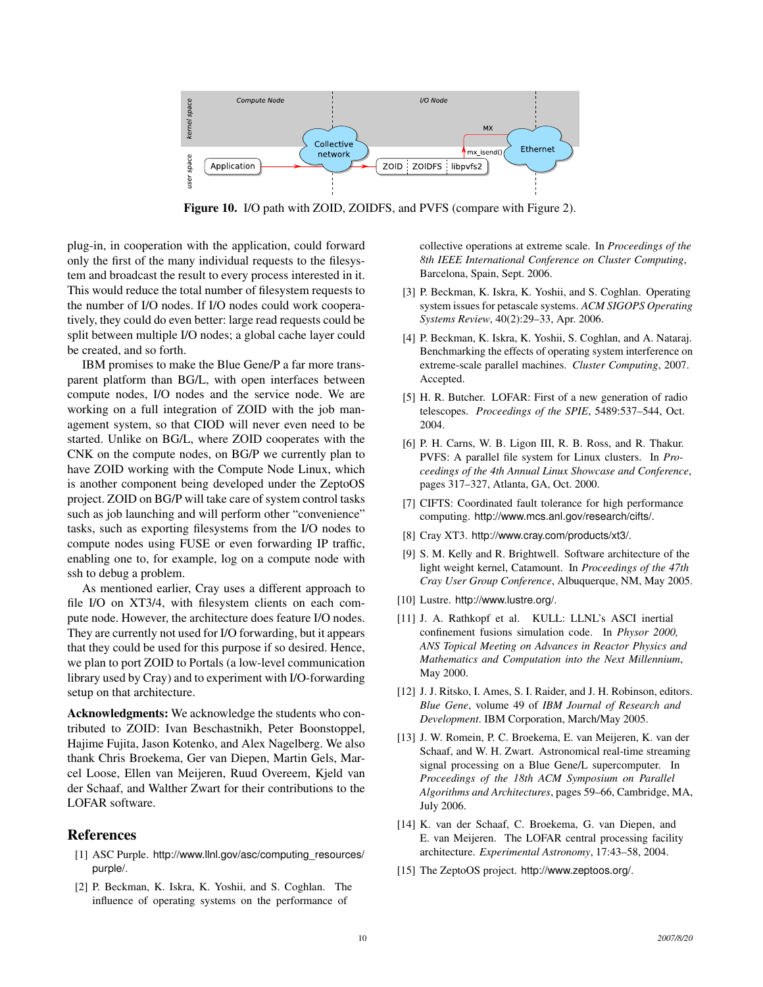

**Figure 10.** I/O path with ZOID, ZOIDFS, and PVFS (compare with Figure 2).

plug-in, in cooperation with the application, could forward only the first of the many individual requests to the filesystem and broadcast the result to every process interested in it. This would reduce the total number of filesystem requests to the number of I/O nodes. If I/O nodes could work cooperatively, they could do even better: large read requests could be split between multiple I/O nodes; a global cache layer could be created, and so forth.

IBM promises to make the Blue Gene/P a far more transparent platform than BG/L, with open interfaces between compute nodes, I/O nodes and the service node. We are working on a full integration of ZOID with the job management system, so that CIOD will never even need to be started. Unlike on BG/L, where ZOID cooperates with the CNK on the compute nodes, on BG/P we currently plan to have ZOID working with the Compute Node Linux, which is another component being developed under the ZeptoOS project. ZOID on BG/P will take care of system control tasks such as job launching and will perform other "convenience" tasks, such as exporting filesystems from the I/O nodes to compute nodes using FUSE or even forwarding IP traffic, enabling one to, for example, log on a compute node with ssh to debug a problem.

As mentioned earlier, Cray uses a different approach to file I/O on XT3/4, with filesystem clients on each compute node. However, the architecture does feature I/O nodes. They are currently not used for I/O forwarding, but it appears that they could be used for this purpose if so desired. Hence, we plan to port ZOID to Portals (a low-level communication library used by Cray) and to experiment with I/O-forwarding setup on that architecture.

**Acknowledgments:** We acknowledge the students who contributed to ZOID: Ivan Beschastnikh, Peter Boonstoppel, Hajime Fujita, Jason Kotenko, and Alex Nagelberg. We also thank Chris Broekema, Ger van Diepen, Martin Gels, Marcel Loose, Ellen van Meijeren, Ruud Overeem, Kjeld van der Schaaf, and Walther Zwart for their contributions to the LOFAR software.

## **References**

- [1] ASC Purple. http://www.llnl.gov/asc/computing\_resources/ purple/.
- [2] P. Beckman, K. Iskra, K. Yoshii, and S. Coghlan. The influence of operating systems on the performance of

collective operations at extreme scale. In *Proceedings of the 8th IEEE International Conference on Cluster Computing*, Barcelona, Spain, Sept. 2006.

- [3] P. Beckman, K. Iskra, K. Yoshii, and S. Coghlan. Operating system issues for petascale systems. *ACM SIGOPS Operating Systems Review*, 40(2):29–33, Apr. 2006.
- [4] P. Beckman, K. Iskra, K. Yoshii, S. Coghlan, and A. Nataraj. Benchmarking the effects of operating system interference on extreme-scale parallel machines. *Cluster Computing*, 2007. Accepted.
- [5] H. R. Butcher. LOFAR: First of a new generation of radio telescopes. *Proceedings of the SPIE*, 5489:537–544, Oct. 2004.
- [6] P. H. Carns, W. B. Ligon III, R. B. Ross, and R. Thakur. PVFS: A parallel file system for Linux clusters. In *Proceedings of the 4th Annual Linux Showcase and Conference*, pages 317–327, Atlanta, GA, Oct. 2000.
- [7] CIFTS: Coordinated fault tolerance for high performance computing. http://www.mcs.anl.gov/research/cifts/.
- [8] Cray XT3. http://www.cray.com/products/xt3/.
- [9] S. M. Kelly and R. Brightwell. Software architecture of the light weight kernel, Catamount. In *Proceedings of the 47th Cray User Group Conference*, Albuquerque, NM, May 2005.
- [10] Lustre. http://www.lustre.org/.
- [11] J. A. Rathkopf et al. KULL: LLNL's ASCI inertial confinement fusions simulation code. In *Physor 2000, ANS Topical Meeting on Advances in Reactor Physics and Mathematics and Computation into the Next Millennium*, May 2000.
- [12] J. J. Ritsko, I. Ames, S. I. Raider, and J. H. Robinson, editors. *Blue Gene*, volume 49 of *IBM Journal of Research and Development*. IBM Corporation, March/May 2005.
- [13] J. W. Romein, P. C. Broekema, E. van Meijeren, K. van der Schaaf, and W. H. Zwart. Astronomical real-time streaming signal processing on a Blue Gene/L supercomputer. In *Proceedings of the 18th ACM Symposium on Parallel Algorithms and Architectures*, pages 59–66, Cambridge, MA, July 2006.
- [14] K. van der Schaaf, C. Broekema, G. van Diepen, and E. van Meijeren. The LOFAR central processing facility architecture. *Experimental Astronomy*, 17:43–58, 2004.
- [15] The ZeptoOS project. http://www.zeptoos.org/.